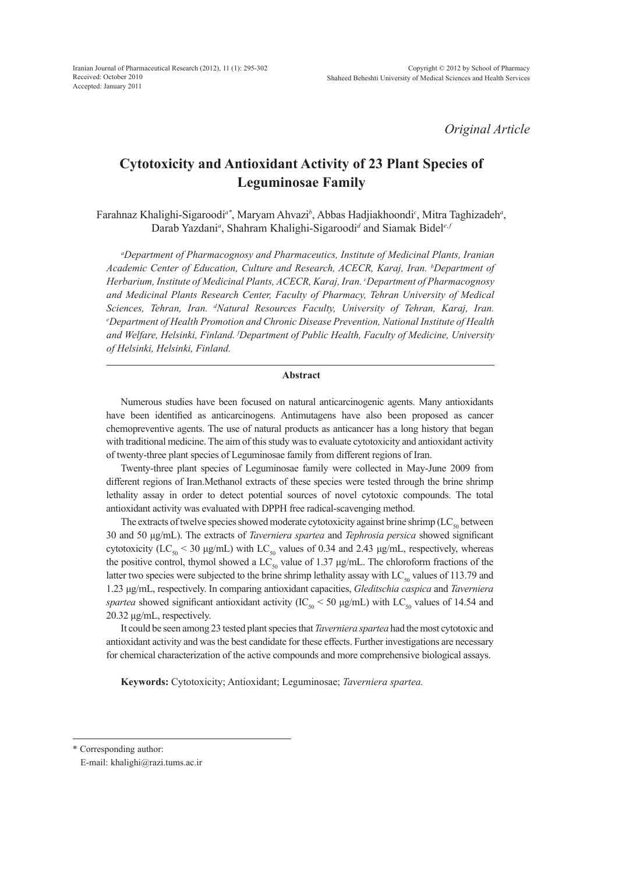*Original Article*

# **Cytotoxicity and Antioxidant Activity of 23 Plant Species of Leguminosae Family**

Farahnaz Khalighi-Sigaroodi<sup>a\*</sup>, Maryam Ahvazi<sup>b</sup>, Abbas Hadjiakhoondi<sup>c</sup>, Mitra Taghizadeh<sup>a</sup>, Darab Yazdani<sup>a</sup>, Shahram Khalighi-Sigaroodi<sup>d</sup> and Siamak Bidel<sup>e, *j*</sup>

*a Department of Pharmacognosy and Pharmaceutics, Institute of Medicinal Plants, Iranian*  Academic Center of Education, Culture and Research, ACECR, Karaj, Iran. <sup>b</sup>Department of *Herbarium, Institute of Medicinal Plants, ACECR, Karaj, Iran. c Department of Pharmacognosy and Medicinal Plants Research Center, Faculty of Pharmacy, Tehran University of Medical*  Sciences, Tehran, Iran. <sup>d</sup>Natural Resources Faculty, University of Tehran, Karaj, Iran.<br><sup>e</sup>Department of Health Promotion and Chronic Disease Prevention National Institute of Health *Department of Health Promotion and Chronic Disease Prevention, National Institute of Health and Welfare, Helsinki, Finland. f Department of Public Health, Faculty of Medicine, University of Helsinki, Helsinki, Finland.*

### **Abstract**

Numerous studies have been focused on natural anticarcinogenic agents. Many antioxidants have been identified as anticarcinogens. Antimutagens have also been proposed as cancer chemopreventive agents. The use of natural products as anticancer has a long history that began with traditional medicine. The aim of this study was to evaluate cytotoxicity and antioxidant activity of twenty-three plant species of Leguminosae family from different regions of Iran.

Twenty-three plant species of Leguminosae family were collected in May-June 2009 from different regions of Iran.Methanol extracts of these species were tested through the brine shrimp lethality assay in order to detect potential sources of novel cytotoxic compounds. The total antioxidant activity was evaluated with DPPH free radical-scavenging method.

The extracts of twelve species showed moderate cytotoxicity against brine shrimp  $(LC_{so}$  between 30 and 50 μg/mL). The extracts of *Taverniera spartea* and *Tephrosia persica* showed significant cytotoxicity (LC<sub>50</sub> < 30 μg/mL) with LC<sub>50</sub> values of 0.34 and 2.43 μg/mL, respectively, whereas the positive control, thymol showed a LC<sub>50</sub> value of 1.37  $\mu$ g/mL. The chloroform fractions of the latter two species were subjected to the brine shrimp lethality assay with  $LC_{\rm so}$  values of 113.79 and 1.23 μg/mL, respectively. In comparing antioxidant capacities, *Gleditschia caspica* and *Taverniera spartea* showed significant antioxidant activity (IC<sub>50</sub> < 50 µg/mL) with LC<sub>50</sub> values of 14.54 and 20.32 μg/mL, respectively.

It could be seen among 23 tested plant species that *Taverniera spartea* had the most cytotoxic and antioxidant activity and was the best candidate for these effects. Further investigations are necessary for chemical characterization of the active compounds and more comprehensive biological assays.

**Keywords:** Cytotoxicity; Antioxidant; Leguminosae; *Taverniera spartea.*

<sup>\*</sup> Corresponding author:

E-mail: khalighi@razi.tums.ac.ir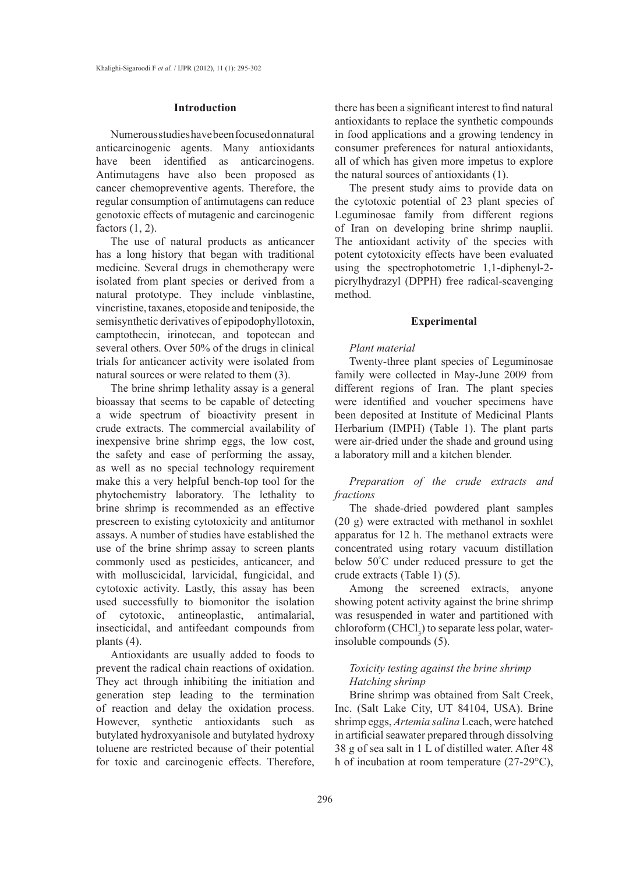## **Introduction**

Numerous studies have been focused on natural anticarcinogenic agents. Many antioxidants have been identified as anticarcinogens. Antimutagens have also been proposed as cancer chemopreventive agents. Therefore, the regular consumption of antimutagens can reduce genotoxic effects of mutagenic and carcinogenic factors (1, 2).

The use of natural products as anticancer has a long history that began with traditional medicine. Several drugs in chemotherapy were isolated from plant species or derived from a natural prototype. They include vinblastine, vincristine, taxanes, etoposide and teniposide, the semisynthetic derivatives of epipodophyllotoxin, camptothecin, irinotecan, and topotecan and several others. Over 50% of the drugs in clinical trials for anticancer activity were isolated from natural sources or were related to them (3).

The brine shrimp lethality assay is a general bioassay that seems to be capable of detecting a wide spectrum of bioactivity present in crude extracts. The commercial availability of inexpensive brine shrimp eggs, the low cost, the safety and ease of performing the assay, as well as no special technology requirement make this a very helpful bench-top tool for the phytochemistry laboratory. The lethality to brine shrimp is recommended as an effective prescreen to existing cytotoxicity and antitumor assays. A number of studies have established the use of the brine shrimp assay to screen plants commonly used as pesticides, anticancer, and with molluscicidal, larvicidal, fungicidal, and cytotoxic activity. Lastly, this assay has been used successfully to biomonitor the isolation of cytotoxic, antineoplastic, antimalarial, insecticidal, and antifeedant compounds from plants (4).

Antioxidants are usually added to foods to prevent the radical chain reactions of oxidation. They act through inhibiting the initiation and generation step leading to the termination of reaction and delay the oxidation process. However, synthetic antioxidants such as butylated hydroxyanisole and butylated hydroxy toluene are restricted because of their potential for toxic and carcinogenic effects. Therefore, there has been a significant interest to find natural antioxidants to replace the synthetic compounds in food applications and a growing tendency in consumer preferences for natural antioxidants, all of which has given more impetus to explore the natural sources of antioxidants (1).

The present study aims to provide data on the cytotoxic potential of 23 plant species of Leguminosae family from different regions of Iran on developing brine shrimp nauplii. The antioxidant activity of the species with potent cytotoxicity effects have been evaluated using the spectrophotometric 1,1-diphenyl-2 picrylhydrazyl (DPPH) free radical-scavenging method.

### **Experimental**

## *Plant material*

Twenty-three plant species of Leguminosae family were collected in May-June 2009 from different regions of Iran. The plant species were identified and voucher specimens have been deposited at Institute of Medicinal Plants Herbarium (IMPH) (Table 1). The plant parts were air-dried under the shade and ground using a laboratory mill and a kitchen blender.

*Preparation of the crude extracts and fractions*

The shade-dried powdered plant samples (20 g) were extracted with methanol in soxhlet apparatus for 12 h. The methanol extracts were concentrated using rotary vacuum distillation below 50° C under reduced pressure to get the crude extracts (Table 1) (5).

Among the screened extracts, anyone showing potent activity against the brine shrimp was resuspended in water and partitioned with  $chloroform$  (CHCl<sub>3</sub>) to separate less polar, waterinsoluble compounds (5).

# *Toxicity testing against the brine shrimp Hatching shrimp*

Brine shrimp was obtained from Salt Creek, Inc. (Salt Lake City, UT 84104, USA). Brine shrimp eggs, *Artemia salina* Leach, were hatched in artificial seawater prepared through dissolving 38 g of sea salt in 1 L of distilled water. After 48 h of incubation at room temperature (27-29°C),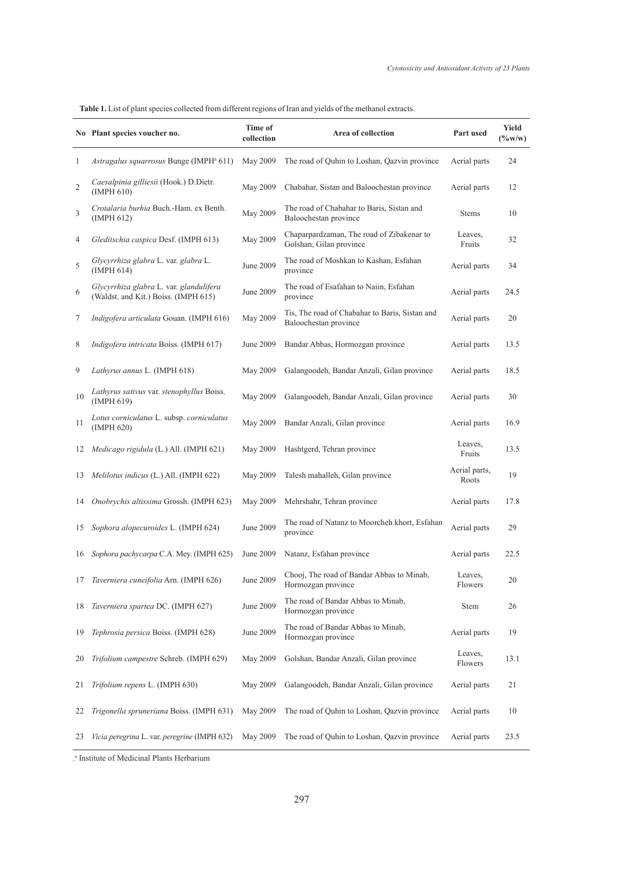**Table 1.** List of plant species collected from different regions of Iran and yields of the methanol extracts.

|                | No Plant species voucher no.                                                    | Time of<br>collection | Area of collection                                                      | Part used              | <b>Yield</b><br>$(\%w/w)$ |
|----------------|---------------------------------------------------------------------------------|-----------------------|-------------------------------------------------------------------------|------------------------|---------------------------|
| 1              | Astragalus squarrosus Bunge (IMPH <sup>a</sup> 611)                             | May 2009              | The road of Quhin to Loshan, Qazvin province                            | Aerial parts           | 24                        |
| $\overline{c}$ | Caesalpinia gilliesii (Hook.) D.Dietr.<br>(IMPH 610)                            | May 2009              | Chabahar, Sistan and Baloochestan province                              | Aerial parts           | 12                        |
| 3              | Crotalaria burhia Buch.-Ham. ex Benth.<br>(IMPH 612)                            | May 2009              | The road of Chabahar to Baris, Sistan and<br>Baloochestan province      | <b>Stems</b>           | 10                        |
| 4              | Gleditschia caspica Desf. (IMPH 613)                                            | May 2009              | Chaparpardzaman, The road of Zibakenar to<br>Golshan, Gilan province    | Leaves,<br>Fruits      | 32                        |
| 5              | Glycyrrhiza glabra L. var. glabra L.<br>(IMPH 614)                              | June 2009             | The road of Moshkan to Kashan, Esfahan<br>province                      | Aerial parts           | 34                        |
| 6              | Glycyrrhiza glabra L. var. glandulifera<br>(Waldst. and Kit.) Boiss. (IMPH 615) | June 2009             | The road of Esafahan to Naiin, Esfahan<br>province                      | Aerial parts           | 24.5                      |
| 7              | Indigofera articulata Gouan. (IMPH 616)                                         | May 2009              | Tis, The road of Chabahar to Baris, Sistan and<br>Baloochestan province | Aerial parts           | 20                        |
| 8              | Indigofera intricata Boiss. (IMPH 617)                                          | June 2009             | Bandar Abbas, Hormozgan province                                        | Aerial parts           | 13.5                      |
| 9              | Lathyrus annus L. (IMPH 618)                                                    | May 2009              | Galangoodeh, Bandar Anzali, Gilan province                              | Aerial parts           | 18.5                      |
| 10             | Lathyrus sativus var. stenophyllus Boiss.<br>(IMPH 619)                         | May 2009              | Galangoodeh, Bandar Anzali, Gilan province                              | Aerial parts           | 30                        |
| 11             | Lotus corniculatus L. subsp. corniculatus<br>(IMPH 620)                         | May 2009              | Bandar Anzali, Gilan province                                           | Aerial parts           | 16.9                      |
| 12             | Medicago rigidula (L.) All. (IMPH 621)                                          | May 2009              | Hashtgerd, Tehran province                                              | Leaves,<br>Fruits      | 13.5                      |
| 13             | Melilotus indicus (L.) All. (IMPH 622)                                          | May 2009              | Talesh mahalleh, Gilan province                                         | Aerial parts,<br>Roots | 19                        |
| 14             | Onobrychis altissima Grossh. (IMPH 623)                                         | May 2009              | Mehrshahr, Tehran province                                              | Aerial parts           | 17.8                      |
| 15             | Sophora alopecuroides L. (IMPH 624)                                             | June 2009             | The road of Natanz to Moorcheh khort, Esfahan<br>province               | Aerial parts           | 29                        |
| 16             | Sophora pachycarpa C.A. Mey. (IMPH 625)                                         | June 2009             | Natanz, Esfahan province                                                | Aerial parts           | 22.5                      |
| 17             | Taverniera cuneifolia Arn. (IMPH 626)                                           | June 2009             | Chooj, The road of Bandar Abbas to Minab,<br>Hormozgan province         | Leaves,<br>Flowers     | 20                        |
| 18             | Taverniera spartea DC. (IMPH 627)                                               | June 2009             | The road of Bandar Abbas to Minab,<br>Hormozgan province                | Stem                   | 26                        |
| 19             | Tephrosia persica Boiss. (IMPH 628)                                             | June 2009             | The road of Bandar Abbas to Minab,<br>Hormozgan province                | Aerial parts           | 19                        |
| 20             | Trifolium campestre Schreb. (IMPH 629)                                          | May 2009              | Golshan, Bandar Anzali, Gilan province                                  | Leaves,<br>Flowers     | 13.1                      |
| 21             | Trifolium repens L. (IMPH 630)                                                  | May 2009              | Galangoodeh, Bandar Anzali, Gilan province                              | Aerial parts           | 21                        |
| 22             | Trigonella spruneriana Boiss. (IMPH 631)                                        | May 2009              | The road of Quhin to Loshan, Qazvin province                            | Aerial parts           | 10                        |
| 23             | Vicia peregrina L. var. peregrine (IMPH 632)                                    | May 2009              | The road of Quhin to Loshan, Qazvin province                            | Aerial parts           | 23.5                      |

. a Institute of Medicinal Plants Herbarium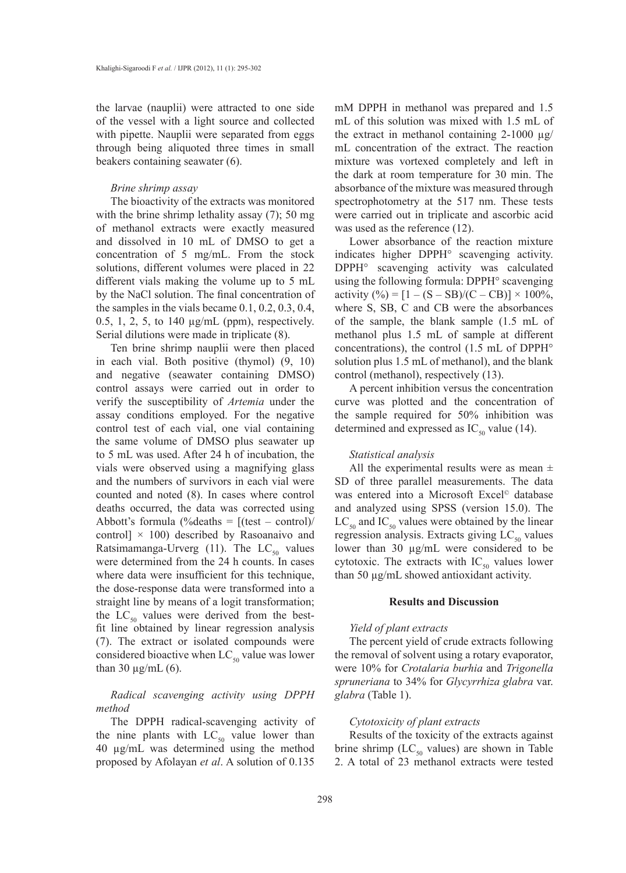the larvae (nauplii) were attracted to one side of the vessel with a light source and collected with pipette. Nauplii were separated from eggs through being aliquoted three times in small beakers containing seawater (6).

## *Brine shrimp assay*

The bioactivity of the extracts was monitored with the brine shrimp lethality assay (7); 50 mg of methanol extracts were exactly measured and dissolved in 10 mL of DMSO to get a concentration of 5 mg/mL. From the stock solutions, different volumes were placed in 22 different vials making the volume up to 5 mL by the NaCl solution. The final concentration of the samples in the vials became 0.1, 0.2, 0.3, 0.4, 0.5, 1, 2, 5, to 140 µg/mL (ppm), respectively. Serial dilutions were made in triplicate (8).

Ten brine shrimp nauplii were then placed in each vial. Both positive (thymol) (9, 10) and negative (seawater containing DMSO) control assays were carried out in order to verify the susceptibility of *Artemia* under the assay conditions employed. For the negative control test of each vial, one vial containing the same volume of DMSO plus seawater up to 5 mL was used. After 24 h of incubation, the vials were observed using a magnifying glass and the numbers of survivors in each vial were counted and noted (8). In cases where control deaths occurred, the data was corrected using Abbott's formula  $(\% deaths = [(test - control)]$ control]  $\times$  100) described by Rasoanaivo and Ratsimamanga-Urverg (11). The  $LC_{50}$  values were determined from the 24 h counts. In cases where data were insufficient for this technique, the dose-response data were transformed into a straight line by means of a logit transformation; the  $LC_{50}$  values were derived from the bestfit line obtained by linear regression analysis (7). The extract or isolated compounds were considered bioactive when  $LC_{50}$  value was lower than 30  $\mu$ g/mL (6).

*Radical scavenging activity using DPPH method*

The DPPH radical-scavenging activity of the nine plants with  $LC_{50}$  value lower than 40 µg/mL was determined using the method proposed by Afolayan *et al*. A solution of 0.135

mM DPPH in methanol was prepared and 1.5 mL of this solution was mixed with 1.5 mL of the extract in methanol containing  $2-1000 \mu g$ / mL concentration of the extract. The reaction mixture was vortexed completely and left in the dark at room temperature for 30 min. The absorbance of the mixture was measured through spectrophotometry at the 517 nm. These tests were carried out in triplicate and ascorbic acid was used as the reference (12).

Lower absorbance of the reaction mixture indicates higher DPPH° scavenging activity. DPPH° scavenging activity was calculated using the following formula: DPPH° scavenging activity  $(\%) = [1 - (S - SB)/(C - CB)] \times 100\%,$ where S, SB, C and CB were the absorbances of the sample, the blank sample (1.5 mL of methanol plus 1.5 mL of sample at different concentrations), the control (1.5 mL of DPPH° solution plus 1.5 mL of methanol), and the blank control (methanol), respectively (13).

A percent inhibition versus the concentration curve was plotted and the concentration of the sample required for 50% inhibition was determined and expressed as  $IC_{50}$  value (14).

## *Statistical analysis*

All the experimental results were as mean  $\pm$ SD of three parallel measurements. The data was entered into a Microsoft Excel<sup>®</sup> database and analyzed using SPSS (version 15.0). The  $LC_{50}$  and  $IC_{50}$  values were obtained by the linear regression analysis. Extracts giving  $LC_{50}$  values lower than 30 µg/mL were considered to be cytotoxic. The extracts with  $IC_{50}$  values lower than 50 µg/mL showed antioxidant activity.

# **Results and Discussion**

## *Yield of plant extracts*

The percent yield of crude extracts following the removal of solvent using a rotary evaporator, were 10% for *Crotalaria burhia* and *Trigonella spruneriana* to 34% for *Glycyrrhiza glabra* var. *glabra* (Table 1).

## *Cytotoxicity of plant extracts*

Results of the toxicity of the extracts against brine shrimp ( $LC_{50}$  values) are shown in Table 2. A total of 23 methanol extracts were tested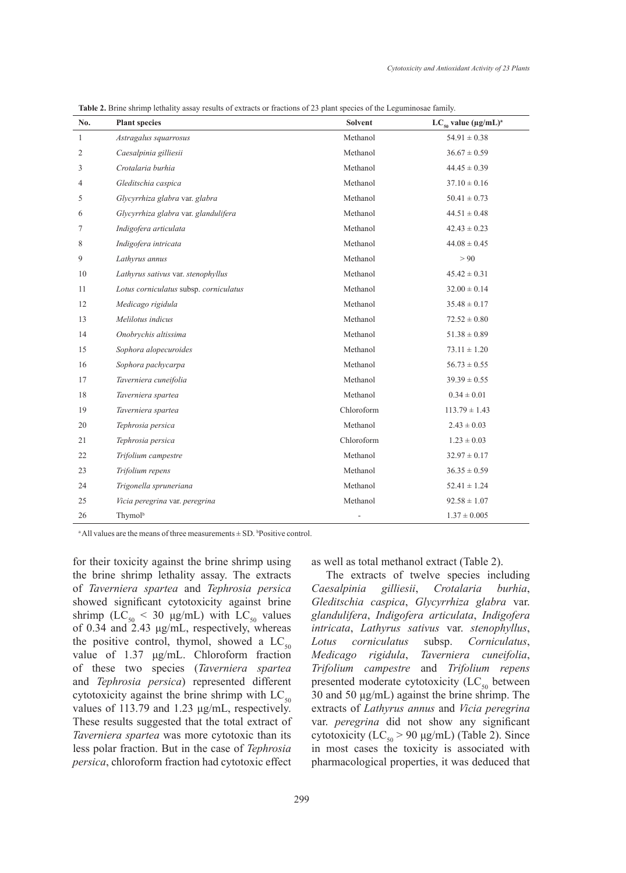| No.          | <b>Plant species</b>                   | Solvent    | $LC_{50}$ value (µg/mL) <sup>a</sup> |
|--------------|----------------------------------------|------------|--------------------------------------|
| $\mathbf{1}$ | Astragalus squarrosus                  | Methanol   | $54.91 \pm 0.38$                     |
| 2            | Caesalpinia gilliesii                  | Methanol   | $36.67 \pm 0.59$                     |
| 3            | Crotalaria burhia                      | Methanol   | $44.45 \pm 0.39$                     |
| 4            | Gleditschia caspica                    | Methanol   | $37.10 \pm 0.16$                     |
| 5            | Glycyrrhiza glabra var. glabra         | Methanol   | $50.41 \pm 0.73$                     |
| 6            | Glycyrrhiza glabra var. glandulifera   | Methanol   | $44.51 \pm 0.48$                     |
| 7            | Indigofera articulata                  | Methanol   | $42.43 \pm 0.23$                     |
| 8            | Indigofera intricata                   | Methanol   | $44.08 \pm 0.45$                     |
| 9            | Lathyrus annus                         | Methanol   | > 90                                 |
| 10           | Lathyrus sativus var. stenophyllus     | Methanol   | $45.42 \pm 0.31$                     |
| 11           | Lotus corniculatus subsp. corniculatus | Methanol   | $32.00 \pm 0.14$                     |
| 12           | Medicago rigidula                      | Methanol   | $35.48 \pm 0.17$                     |
| 13           | Melilotus indicus                      | Methanol   | $72.52 \pm 0.80$                     |
| 14           | Onobrychis altissima                   | Methanol   | $51.38 \pm 0.89$                     |
| 15           | Sophora alopecuroides                  | Methanol   | $73.11 \pm 1.20$                     |
| 16           | Sophora pachycarpa                     | Methanol   | $56.73 \pm 0.55$                     |
| 17           | Taverniera cuneifolia                  | Methanol   | $39.39 \pm 0.55$                     |
| 18           | Taverniera spartea                     | Methanol   | $0.34 \pm 0.01$                      |
| 19           | Taverniera spartea                     | Chloroform | $113.79 \pm 1.43$                    |
| 20           | Tephrosia persica                      | Methanol   | $2.43 \pm 0.03$                      |
| 21           | Tephrosia persica                      | Chloroform | $1.23 \pm 0.03$                      |
| 22           | Trifolium campestre                    | Methanol   | $32.97 \pm 0.17$                     |
| 23           | Trifolium repens                       | Methanol   | $36.35 \pm 0.59$                     |
| 24           | Trigonella spruneriana                 | Methanol   | $52.41 \pm 1.24$                     |
| 25           | Vicia peregrina var. peregrina         | Methanol   | $92.58 \pm 1.07$                     |
| 26           | Thymolb                                | ÷,         | $1.37 \pm 0.005$                     |

**Table 2.** Brine shrimp lethality assay results of extracts or fractions of 23 plant species of the Leguminosae family.

<sup>a</sup> All values are the means of three measurements  $\pm$  SD. <sup>b</sup>Positive control.

for their toxicity against the brine shrimp using the brine shrimp lethality assay. The extracts of *Taverniera spartea* and *Tephrosia persica* showed significant cytotoxicity against brine shrimp ( $LC_{50}$  < 30  $\mu$ g/mL) with  $LC_{50}$  values of 0.34 and 2.43 μg/mL, respectively, whereas the positive control, thymol, showed a  $LC_{50}$ value of 1.37 μg/mL. Chloroform fraction of these two species (*Taverniera spartea* and *Tephrosia persica*) represented different cytotoxicity against the brine shrimp with  $LC_{50}$ values of 113.79 and 1.23 μg/mL, respectively. These results suggested that the total extract of *Taverniera spartea* was more cytotoxic than its less polar fraction. But in the case of *Tephrosia persica*, chloroform fraction had cytotoxic effect as well as total methanol extract (Table 2).

The extracts of twelve species including *Caesalpinia gilliesii*, *Crotalaria burhia*, *Gleditschia caspica*, *Glycyrrhiza glabra* var. *glandulifera*, *Indigofera articulata*, *Indigofera intricata*, *Lathyrus sativus* var. *stenophyllus*, *Lotus corniculatus* subsp. *Corniculatus*, *Medicago rigidula*, *Taverniera cuneifolia*, *Trifolium campestre* and *Trifolium repens* presented moderate cytotoxicity  $(LC_{50}$  between 30 and 50 μg/mL) against the brine shrimp. The extracts of *Lathyrus annus* and *Vicia peregrina* var. *peregrina* did not show any significant cytotoxicity (LC<sub>50</sub> > 90  $\mu$ g/mL) (Table 2). Since in most cases the toxicity is associated with pharmacological properties, it was deduced that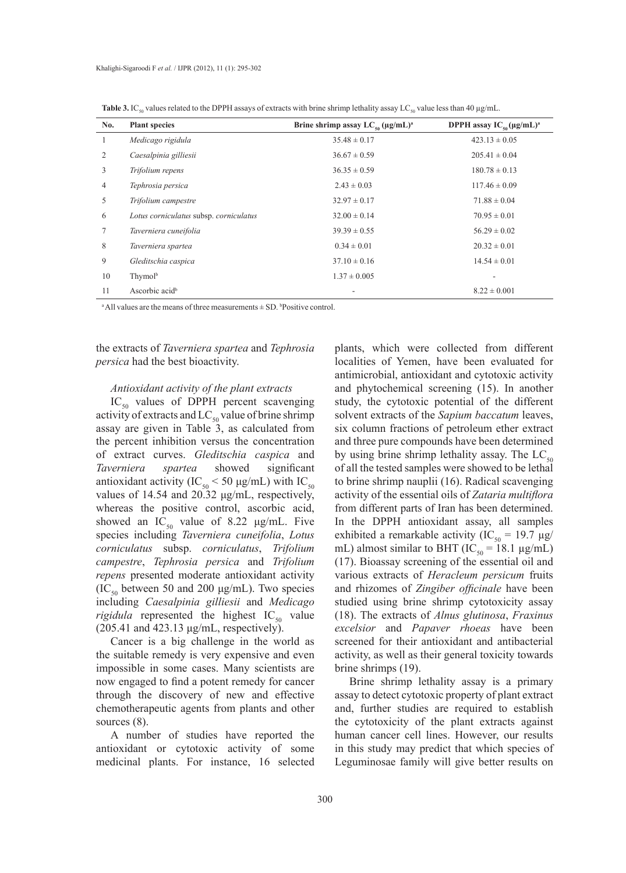|     | 50                                     | $\sim$                                            |                                      |
|-----|----------------------------------------|---------------------------------------------------|--------------------------------------|
| No. | <b>Plant species</b>                   | Brine shrimp assay $LC_{\epsilon_0} (\mu g/mL)^a$ | DPPH assay $IC_{\rm so}(\mu g/mL)^a$ |
| 1   | Medicago rigidula                      | $35.48 \pm 0.17$                                  | $423.13 \pm 0.05$                    |
| 2   | Caesalpinia gilliesii                  | $36.67 \pm 0.59$                                  | $205.41 \pm 0.04$                    |
| 3   | Trifolium repens                       | $36.35 \pm 0.59$                                  | $180.78 \pm 0.13$                    |
| 4   | Tephrosia persica                      | $2.43 \pm 0.03$                                   | $117.46 \pm 0.09$                    |
| 5   | Trifolium campestre                    | $32.97 \pm 0.17$                                  | $71.88 \pm 0.04$                     |
| 6   | Lotus corniculatus subsp. corniculatus | $32.00 \pm 0.14$                                  | $70.95 \pm 0.01$                     |
| 7   | Taverniera cuneifolia                  | $39.39 \pm 0.55$                                  | $56.29 \pm 0.02$                     |
| 8   | Taverniera spartea                     | $0.34 \pm 0.01$                                   | $20.32 \pm 0.01$                     |
| 9   | Gleditschia caspica                    | $37.10 \pm 0.16$                                  | $14.54 \pm 0.01$                     |
| 10  | Thymolb                                | $1.37 \pm 0.005$                                  |                                      |
| 11  | Ascorbic acid <sup>b</sup>             |                                                   | $8.22 \pm 0.001$                     |

**Table 3.** IC<sub>50</sub> values related to the DPPH assays of extracts with brine shrimp lethality assay LC<sub>50</sub> value less than 40 µg/mL.

<sup>a</sup> All values are the means of three measurements  $\pm$  SD. <sup>b</sup>Positive control.

the extracts of *Taverniera spartea* and *Tephrosia persica* had the best bioactivity.

## *Antioxidant activity of the plant extracts*

 $IC_{50}$  values of DPPH percent scavenging activity of extracts and  $LC_{50}$  value of brine shrimp assay are given in Table 3, as calculated from the percent inhibition versus the concentration of extract curves. *Gleditschia caspica* and *Taverniera spartea* showed significant antioxidant activity (IC<sub>50</sub> < 50 µg/mL) with IC<sub>50</sub> values of 14.54 and 20.32 μg/mL, respectively, whereas the positive control, ascorbic acid, showed an IC<sub>50</sub> value of 8.22  $\mu$ g/mL. Five species including *Taverniera cuneifolia*, *Lotus corniculatus* subsp. *corniculatus*, *Trifolium campestre*, *Tephrosia persica* and *Trifolium repens* presented moderate antioxidant activity (IC<sub>50</sub> between 50 and 200  $\mu$ g/mL). Two species including *Caesalpinia gilliesii* and *Medicago rigidula* represented the highest  $IC_{50}$  value (205.41 and 423.13 μg/mL, respectively).

Cancer is a big challenge in the world as the suitable remedy is very expensive and even impossible in some cases. Many scientists are now engaged to find a potent remedy for cancer through the discovery of new and effective chemotherapeutic agents from plants and other sources (8).

A number of studies have reported the antioxidant or cytotoxic activity of some medicinal plants. For instance, 16 selected plants, which were collected from different localities of Yemen, have been evaluated for antimicrobial, antioxidant and cytotoxic activity and phytochemical screening (15). In another study, the cytotoxic potential of the different solvent extracts of the *Sapium baccatum* leaves, six column fractions of petroleum ether extract and three pure compounds have been determined by using brine shrimp lethality assay. The  $LC_{50}$ of all the tested samples were showed to be lethal to brine shrimp nauplii (16). Radical scavenging activity of the essential oils of *Zataria multiflora* from different parts of Iran has been determined. In the DPPH antioxidant assay, all samples exhibited a remarkable activity (IC<sub>50</sub> = 19.7  $\mu$ g/ mL) almost similar to BHT (IC<sub>50</sub> = 18.1  $\mu$ g/mL) (17). Bioassay screening of the essential oil and various extracts of *Heracleum persicum* fruits and rhizomes of *Zingiber officinale* have been studied using brine shrimp cytotoxicity assay (18). The extracts of *Alnus glutinosa*, *Fraxinus excelsior* and *Papaver rhoeas* have been screened for their antioxidant and antibacterial activity, as well as their general toxicity towards brine shrimps (19).

Brine shrimp lethality assay is a primary assay to detect cytotoxic property of plant extract and, further studies are required to establish the cytotoxicity of the plant extracts against human cancer cell lines. However, our results in this study may predict that which species of Leguminosae family will give better results on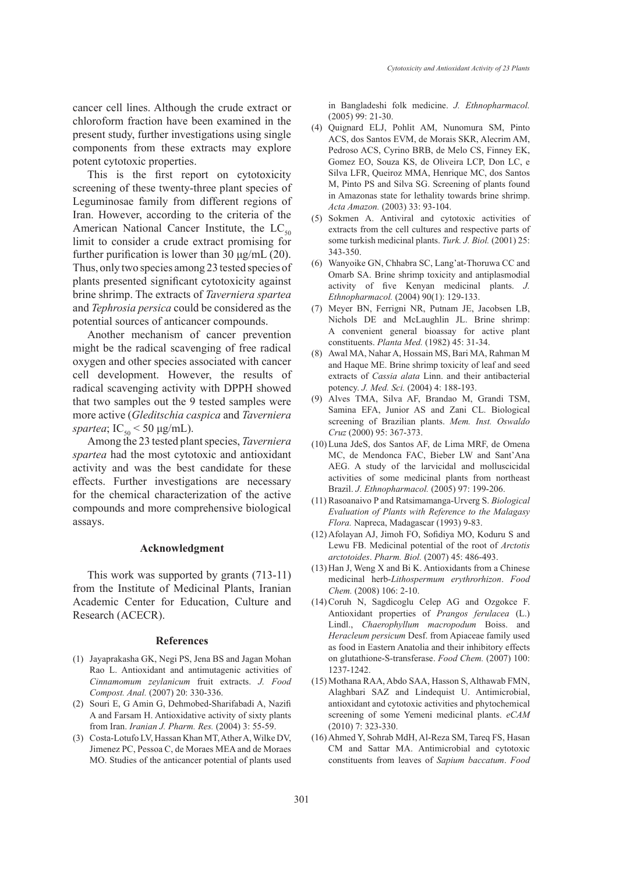potent cytotoxic properties. This is the first report on cytotoxicity screening of these twenty-three plant species of Leguminosae family from different regions of Iran. However, according to the criteria of the American National Cancer Institute, the  $LC_{50}$ limit to consider a crude extract promising for further purification is lower than 30  $\mu$ g/mL (20). Thus, only two species among 23 tested species of plants presented significant cytotoxicity against brine shrimp. The extracts of *Taverniera spartea* and *Tephrosia persica* could be considered as the potential sources of anticancer compounds.

Another mechanism of cancer prevention might be the radical scavenging of free radical oxygen and other species associated with cancer cell development. However, the results of radical scavenging activity with DPPH showed that two samples out the 9 tested samples were more active (*Gleditschia caspica* and *Taverniera spartea*;  $IC_{50}$  < 50  $\mu$ g/mL).

Among the 23 tested plant species, *Taverniera spartea* had the most cytotoxic and antioxidant activity and was the best candidate for these effects. Further investigations are necessary for the chemical characterization of the active compounds and more comprehensive biological assays.

## **Acknowledgment**

This work was supported by grants (713-11) from the Institute of Medicinal Plants, Iranian Academic Center for Education, Culture and Research (ACECR).

#### **References**

- (1) Jayaprakasha GK, Negi PS, Jena BS and Jagan Mohan Rao L. Antioxidant and antimutagenic activities of *Cinnamomum zeylanicum* fruit extracts. *J. Food Compost. Anal.* (2007) 20: 330-336.
- (2) Souri E, G Amin G, Dehmobed-Sharifabadi A, Nazifi A and Farsam H. Antioxidative activity of sixty plants from Iran. *Iranian J. Pharm. Res.* (2004) 3: 55-59.
- Costa-Lotufo LV, Hassan Khan MT, Ather A, Wilke DV, (3) Jimenez PC, Pessoa C, de Moraes MEA and de Moraes MO. Studies of the anticancer potential of plants used

in Bangladeshi folk medicine. *J. Ethnopharmacol.* (2005) 99: 21-30.

- Quignard ELJ, Pohlit AM, Nunomura SM, Pinto (4) ACS, dos Santos EVM, de Morais SKR, Alecrim AM, Pedroso ACS, Cyrino BRB, de Melo CS, Finney EK, Gomez EO, Souza KS, de Oliveira LCP, Don LC, e Silva LFR, Queiroz MMA, Henrique MC, dos Santos M, Pinto PS and Silva SG. Screening of plants found in Amazonas state for lethality towards brine shrimp. *Acta Amazon.* (2003) 33: 93-104.
- (5) Sokmen A. Antiviral and cytotoxic activities of extracts from the cell cultures and respective parts of some turkish medicinal plants. *Turk. J. Biol.* (2001) 25: 343-350.
- Wanyoike GN, Chhabra SC, Lang'at-Thoruwa CC and (6) Omarb SA. Brine shrimp toxicity and antiplasmodial activity of five Kenyan medicinal plants. *J. Ethnopharmacol.* (2004) 90(1): 129-133.
- Meyer BN, Ferrigni NR, Putnam JE, Jacobsen LB, (7) Nichols DE and McLaughlin JL. Brine shrimp: A convenient general bioassay for active plant constituents. *Planta Med.* (1982) 45: 31-34.
- Awal MA, Nahar A, Hossain MS, Bari MA, Rahman M (8) and Haque ME. Brine shrimp toxicity of leaf and seed extracts of *Cassia alata* Linn. and their antibacterial potency. *J. Med. Sci.* (2004) 4: 188-193.
- Alves TMA, Silva AF, Brandao M, Grandi TSM, (9) Samina EFA, Junior AS and Zani CL. Biological screening of Brazilian plants. *Mem. Inst. Oswaldo Cruz* (2000) 95: 367-373.
- Luna JdeS, dos Santos AF, de Lima MRF, de Omena (10) MC, de Mendonca FAC, Bieber LW and Sant'Ana AEG. A study of the larvicidal and molluscicidal activities of some medicinal plants from northeast Brazil. *J. Ethnopharmacol.* (2005) 97: 199-206.
- (11) Rasoanaivo P and Ratsimamanga-Urverg S. *Biological Evaluation of Plants with Reference to the Malagasy Flora.* Napreca, Madagascar (1993) 9-83.
- Afolayan AJ, Jimoh FO, Sofidiya MO, Koduru S and (12) Lewu FB. Medicinal potential of the root of *Arctotis arctotoides*. *Pharm. Biol.* (2007) 45: 486-493.
- $(13)$  Han J, Weng X and Bi K. Antioxidants from a Chinese medicinal herb-*Lithospermum erythrorhizon*. *Food Chem.* (2008) 106: 2-10.
- $(14)$  Coruh N, Sagdicoglu Celep AG and Ozgokce F. Antioxidant properties of *Prangos ferulacea* (L.) Lindl., *Chaerophyllum macropodum* Boiss. and *Heracleum persicum* Desf. from Apiaceae family used as food in Eastern Anatolia and their inhibitory effects on glutathione-S-transferase. *Food Chem.* (2007) 100: 1237-1242.
- Mothana RAA, Abdo SAA, Hasson S, Althawab FMN, (15) Alaghbari SAZ and Lindequist U. Antimicrobial, antioxidant and cytotoxic activities and phytochemical screening of some Yemeni medicinal plants. *eCAM* (2010) 7: 323-330.
- (16) Ahmed Y, Sohrab MdH, Al-Reza SM, Tareq FS, Hasan CM and Sattar MA. Antimicrobial and cytotoxic constituents from leaves of *Sapium baccatum*. *Food*